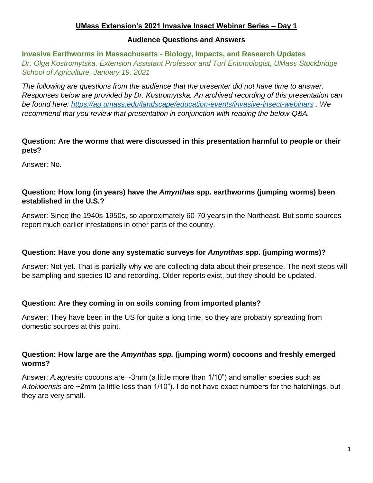# **UMass Extension's 2021 Invasive Insect Webinar Series – Day 1**

#### **Audience Questions and Answers**

**Invasive Earthworms in Massachusetts - Biology, Impacts, and Research Updates** *Dr. Olga Kostromytska, Extension Assistant Professor and Turf Entomologist, UMass Stockbridge School of Agriculture, January 19, 2021*

*The following are questions from the audience that the presenter did not have time to answer. Responses below are provided by Dr. Kostromytska. An archived recording of this presentation can be found here:<https://ag.umass.edu/landscape/education-events/invasive-insect-webinars> . We recommend that you review that presentation in conjunction with reading the below Q&A.*

# **Question: Are the worms that were discussed in this presentation harmful to people or their pets?**

Answer: No.

# **Question: How long (in years) have the** *Amynthas* **spp***.* **earthworms (jumping worms) been established in the U.S.?**

Answer: Since the 1940s-1950s, so approximately 60-70 years in the Northeast. But some sources report much earlier infestations in other parts of the country.

# **Question: Have you done any systematic surveys for** *Amynthas* **spp. (jumping worms)?**

Answer: Not yet. That is partially why we are collecting data about their presence. The next steps will be sampling and species ID and recording. Older reports exist, but they should be updated.

# **Question: Are they coming in on soils coming from imported plants?**

Answer: They have been in the US for quite a long time, so they are probably spreading from domestic sources at this point.

# **Question: How large are the** *Amynthas spp.* **(jumping worm) cocoons and freshly emerged worms?**

Answer: *A.agrestis* cocoons are ~3mm (a little more than 1/10") and smaller species such as *A.tokioensis* are ~2mm (a little less than 1/10"). I do not have exact numbers for the hatchlings, but they are very small.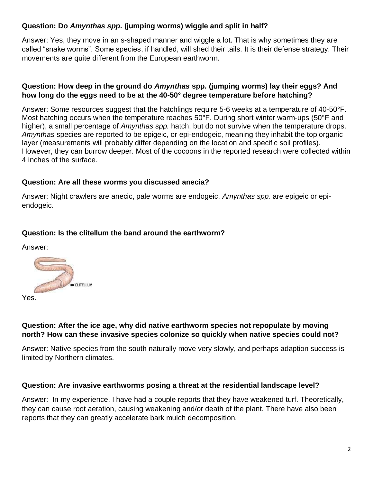# **Question: Do** *Amynthas spp.* **(jumping worms) wiggle and split in half?**

Answer: Yes, they move in an s-shaped manner and wiggle a lot. That is why sometimes they are called "snake worms". Some species, if handled, will shed their tails. It is their defense strategy. Their movements are quite different from the European earthworm.

# **Question: How deep in the ground do** *Amynthas* **spp***.* **(jumping worms) lay their eggs? And how long do the eggs need to be at the 40-50° degree temperature before hatching?**

Answer: Some resources suggest that the hatchlings require 5-6 weeks at a temperature of 40-50°F. Most hatching occurs when the temperature reaches 50°F. During short winter warm-ups (50°F and higher), a small percentage of *Amynthas spp.* hatch, but do not survive when the temperature drops. *Amynthas* species are reported to be epigeic, or epi-endogeic, meaning they inhabit the top organic layer (measurements will probably differ depending on the location and specific soil profiles). However, they can burrow deeper. Most of the cocoons in the reported research were collected within 4 inches of the surface.

# **Question: Are all these worms you discussed anecia?**

Answer: Night crawlers are anecic, pale worms are endogeic, *Amynthas spp.* are epigeic or epiendogeic.

# **Question: Is the clitellum the band around the earthworm?**

Answer:



# **Question: After the ice age, why did native earthworm species not repopulate by moving north? How can these invasive species colonize so quickly when native species could not?**

Answer: Native species from the south naturally move very slowly, and perhaps adaption success is limited by Northern climates.

#### **Question: Are invasive earthworms posing a threat at the residential landscape level?**

Answer: In my experience, I have had a couple reports that they have weakened turf. Theoretically, they can cause root aeration, causing weakening and/or death of the plant. There have also been reports that they can greatly accelerate bark mulch decomposition.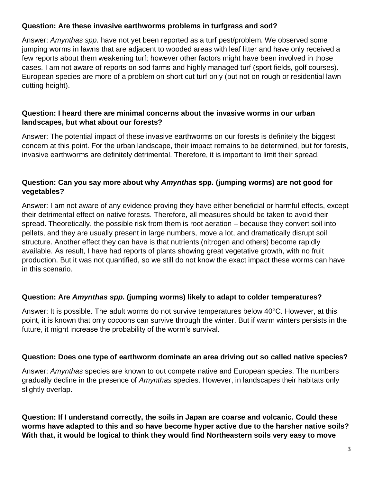# **Question: Are these invasive earthworms problems in turfgrass and sod?**

Answer: *Amynthas spp.* have not yet been reported as a turf pest/problem. We observed some jumping worms in lawns that are adjacent to wooded areas with leaf litter and have only received a few reports about them weakening turf; however other factors might have been involved in those cases. I am not aware of reports on sod farms and highly managed turf (sport fields, golf courses). European species are more of a problem on short cut turf only (but not on rough or residential lawn cutting height).

# **Question: I heard there are minimal concerns about the invasive worms in our urban landscapes, but what about our forests?**

Answer: The potential impact of these invasive earthworms on our forests is definitely the biggest concern at this point. For the urban landscape, their impact remains to be determined, but for forests, invasive earthworms are definitely detrimental. Therefore, it is important to limit their spread.

# **Question: Can you say more about why** *Amynthas* **spp***.* **(jumping worms) are not good for vegetables?**

Answer: I am not aware of any evidence proving they have either beneficial or harmful effects, except their detrimental effect on native forests. Therefore, all measures should be taken to avoid their spread. Theoretically, the possible risk from them is root aeration – because they convert soil into pellets, and they are usually present in large numbers, move a lot, and dramatically disrupt soil structure. Another effect they can have is that nutrients (nitrogen and others) become rapidly available. As result, I have had reports of plants showing great vegetative growth, with no fruit production. But it was not quantified, so we still do not know the exact impact these worms can have in this scenario.

# **Question: Are** *Amynthas spp.* **(jumping worms) likely to adapt to colder temperatures?**

Answer: It is possible. The adult worms do not survive temperatures below 40°C. However, at this point, it is known that only cocoons can survive through the winter. But if warm winters persists in the future, it might increase the probability of the worm's survival.

# **Question: Does one type of earthworm dominate an area driving out so called native species?**

Answer: *Amynthas* species are known to out compete native and European species. The numbers gradually decline in the presence of *Amynthas* species. However, in landscapes their habitats only slightly overlap.

**Question: If I understand correctly, the soils in Japan are coarse and volcanic. Could these worms have adapted to this and so have become hyper active due to the harsher native soils? With that, it would be logical to think they would find Northeastern soils very easy to move**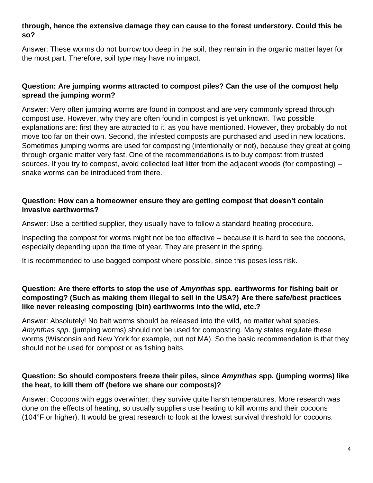## **through, hence the extensive damage they can cause to the forest understory. Could this be so?**

Answer: These worms do not burrow too deep in the soil, they remain in the organic matter layer for the most part. Therefore, soil type may have no impact.

# **Question: Are jumping worms attracted to compost piles? Can the use of the compost help spread the jumping worm?**

Answer: Very often jumping worms are found in compost and are very commonly spread through compost use. However, why they are often found in compost is yet unknown. Two possible explanations are: first they are attracted to it, as you have mentioned. However, they probably do not move too far on their own. Second, the infested composts are purchased and used in new locations. Sometimes jumping worms are used for composting (intentionally or not), because they great at going through organic matter very fast. One of the recommendations is to buy compost from trusted sources. If you try to compost, avoid collected leaf litter from the adjacent woods (for composting) – snake worms can be introduced from there.

#### **Question: How can a homeowner ensure they are getting compost that doesn't contain invasive earthworms?**

Answer: Use a certified supplier, they usually have to follow a standard heating procedure.

Inspecting the compost for worms might not be too effective – because it is hard to see the cocoons, especially depending upon the time of year. They are present in the spring.

It is recommended to use bagged compost where possible, since this poses less risk.

# **Question: Are there efforts to stop the use of** *Amynthas* **spp***.* **earthworms for fishing bait or composting? (Such as making them illegal to sell in the USA?) Are there safe/best practices like never releasing composting (bin) earthworms into the wild, etc.?**

Answer: Absolutely! No bait worms should be released into the wild, no matter what species. *Amynthas spp*. (jumping worms) should not be used for composting. Many states regulate these worms (Wisconsin and New York for example, but not MA). So the basic recommendation is that they should not be used for compost or as fishing baits.

# **Question: So should composters freeze their piles, since** *Amynthas* **spp***.* **(jumping worms) like the heat, to kill them off (before we share our composts)?**

Answer: Cocoons with eggs overwinter; they survive quite harsh temperatures. More research was done on the effects of heating, so usually suppliers use heating to kill worms and their cocoons (104°F or higher). It would be great research to look at the lowest survival threshold for cocoons.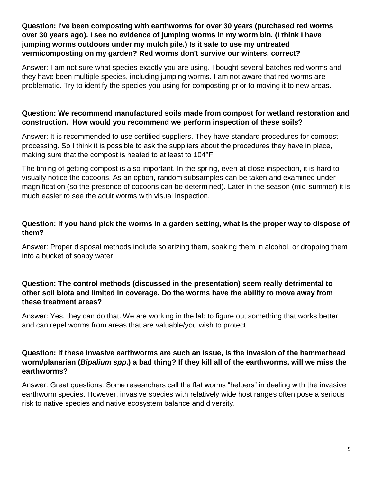# **Question: I've been composting with earthworms for over 30 years (purchased red worms over 30 years ago). I see no evidence of jumping worms in my worm bin. (I think I have jumping worms outdoors under my mulch pile.) Is it safe to use my untreated vermicomposting on my garden? Red worms don't survive our winters, correct?**

Answer: I am not sure what species exactly you are using. I bought several batches red worms and they have been multiple species, including jumping worms. I am not aware that red worms are problematic. Try to identify the species you using for composting prior to moving it to new areas.

# **Question: We recommend manufactured soils made from compost for wetland restoration and construction. How would you recommend we perform inspection of these soils?**

Answer: It is recommended to use certified suppliers. They have standard procedures for compost processing. So I think it is possible to ask the suppliers about the procedures they have in place, making sure that the compost is heated to at least to 104°F.

The timing of getting compost is also important. In the spring, even at close inspection, it is hard to visually notice the cocoons. As an option, random subsamples can be taken and examined under magnification (so the presence of cocoons can be determined). Later in the season (mid-summer) it is much easier to see the adult worms with visual inspection.

# **Question: If you hand pick the worms in a garden setting, what is the proper way to dispose of them?**

Answer: Proper disposal methods include solarizing them, soaking them in alcohol, or dropping them into a bucket of soapy water.

# **Question: The control methods (discussed in the presentation) seem really detrimental to other soil biota and limited in coverage. Do the worms have the ability to move away from these treatment areas?**

Answer: Yes, they can do that. We are working in the lab to figure out something that works better and can repel worms from areas that are valuable/you wish to protect.

#### **Question: If these invasive earthworms are such an issue, is the invasion of the hammerhead worm/planarian (***Bipalium spp***.) a bad thing? If they kill all of the earthworms, will we miss the earthworms?**

Answer: Great questions. Some researchers call the flat worms "helpers" in dealing with the invasive earthworm species. However, invasive species with relatively wide host ranges often pose a serious risk to native species and native ecosystem balance and diversity.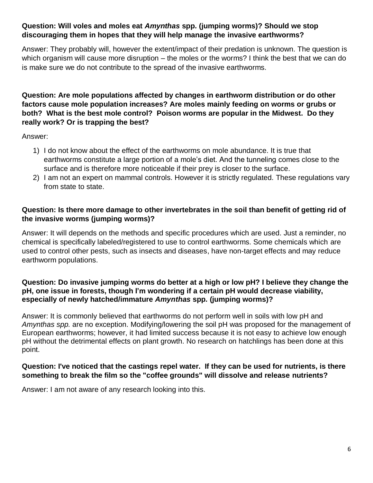# **Question: Will voles and moles eat** *Amynthas* **spp***.* **(jumping worms)? Should we stop discouraging them in hopes that they will help manage the invasive earthworms?**

Answer: They probably will, however the extent/impact of their predation is unknown. The question is which organism will cause more disruption – the moles or the worms? I think the best that we can do is make sure we do not contribute to the spread of the invasive earthworms.

# **Question: Are mole populations affected by changes in earthworm distribution or do other factors cause mole population increases? Are moles mainly feeding on worms or grubs or both? What is the best mole control? Poison worms are popular in the Midwest. Do they really work? Or is trapping the best?**

Answer:

- 1) I do not know about the effect of the earthworms on mole abundance. It is true that earthworms constitute a large portion of a mole's diet. And the tunneling comes close to the surface and is therefore more noticeable if their prey is closer to the surface.
- 2) I am not an expert on mammal controls. However it is strictly regulated. These regulations vary from state to state.

# **Question: Is there more damage to other invertebrates in the soil than benefit of getting rid of the invasive worms (jumping worms)?**

Answer: It will depends on the methods and specific procedures which are used. Just a reminder, no chemical is specifically labeled/registered to use to control earthworms. Some chemicals which are used to control other pests, such as insects and diseases, have non-target effects and may reduce earthworm populations.

#### **Question: Do invasive jumping worms do better at a high or low pH? I believe they change the pH, one issue in forests, though I'm wondering if a certain pH would decrease viability, especially of newly hatched/immature** *Amynthas* **spp***.* **(jumping worms)?**

Answer: It is commonly believed that earthworms do not perform well in soils with low pH and *Amynthas spp.* are no exception. Modifying/lowering the soil pH was proposed for the management of European earthworms; however, it had limited success because it is not easy to achieve low enough pH without the detrimental effects on plant growth. No research on hatchlings has been done at this point.

#### **Question: I've noticed that the castings repel water. If they can be used for nutrients, is there something to break the film so the "coffee grounds" will dissolve and release nutrients?**

Answer: I am not aware of any research looking into this.